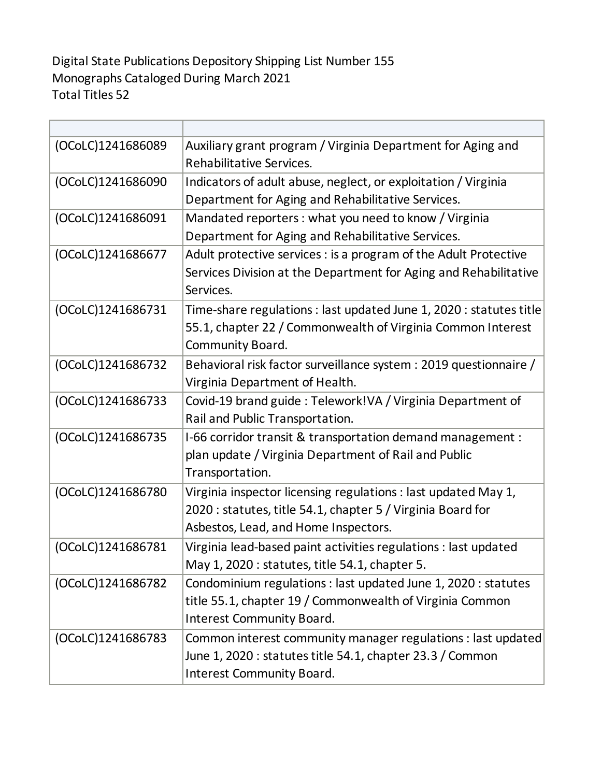## Digital State Publications Depository Shipping List Number 155 Monographs Cataloged During March 2021 Total Titles 52

| (OCoLC)1241686089 | Auxiliary grant program / Virginia Department for Aging and<br>Rehabilitative Services.                                                                               |
|-------------------|-----------------------------------------------------------------------------------------------------------------------------------------------------------------------|
| (OCoLC)1241686090 | Indicators of adult abuse, neglect, or exploitation / Virginia<br>Department for Aging and Rehabilitative Services.                                                   |
| (OCoLC)1241686091 | Mandated reporters : what you need to know / Virginia<br>Department for Aging and Rehabilitative Services.                                                            |
| (OCoLC)1241686677 | Adult protective services : is a program of the Adult Protective<br>Services Division at the Department for Aging and Rehabilitative<br>Services.                     |
| (OCoLC)1241686731 | Time-share regulations : last updated June 1, 2020 : statutes title<br>55.1, chapter 22 / Commonwealth of Virginia Common Interest<br>Community Board.                |
| (OCoLC)1241686732 | Behavioral risk factor surveillance system : 2019 questionnaire /<br>Virginia Department of Health.                                                                   |
| (OCoLC)1241686733 | Covid-19 brand guide: Telework!VA / Virginia Department of<br>Rail and Public Transportation.                                                                         |
| (OCoLC)1241686735 | I-66 corridor transit & transportation demand management :<br>plan update / Virginia Department of Rail and Public<br>Transportation.                                 |
| (OCoLC)1241686780 | Virginia inspector licensing regulations : last updated May 1,<br>2020 : statutes, title 54.1, chapter 5 / Virginia Board for<br>Asbestos, Lead, and Home Inspectors. |
| (OCoLC)1241686781 | Virginia lead-based paint activities regulations : last updated<br>May 1, 2020 : statutes, title 54.1, chapter 5.                                                     |
| (OCoLC)1241686782 | Condominium regulations : last updated June 1, 2020 : statutes<br>title 55.1, chapter 19 / Commonwealth of Virginia Common<br><b>Interest Community Board.</b>        |
| (OCoLC)1241686783 | Common interest community manager regulations : last updated<br>June 1, 2020 : statutes title 54.1, chapter 23.3 / Common<br><b>Interest Community Board.</b>         |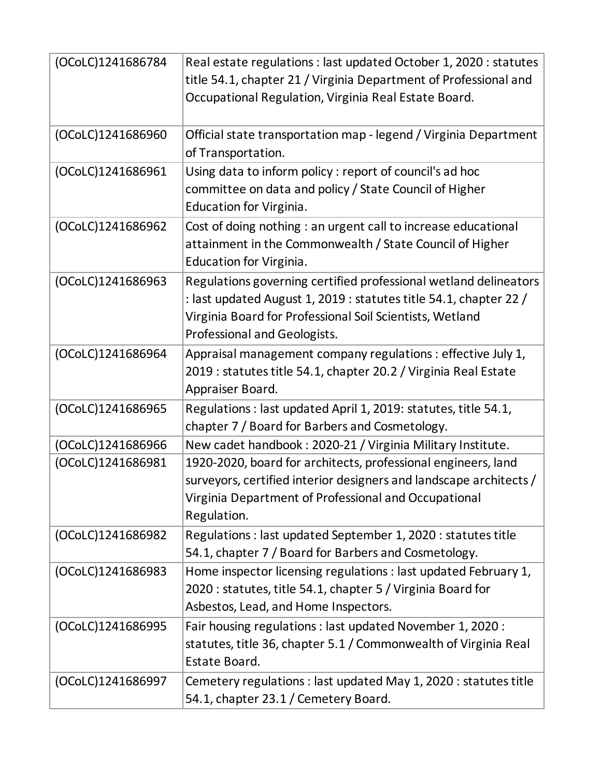| (OCoLC)1241686784 | Real estate regulations : last updated October 1, 2020 : statutes<br>title 54.1, chapter 21 / Virginia Department of Professional and<br>Occupational Regulation, Virginia Real Estate Board.                                     |
|-------------------|-----------------------------------------------------------------------------------------------------------------------------------------------------------------------------------------------------------------------------------|
| (OCoLC)1241686960 | Official state transportation map - legend / Virginia Department<br>of Transportation.                                                                                                                                            |
| (OCoLC)1241686961 | Using data to inform policy : report of council's ad hoc<br>committee on data and policy / State Council of Higher<br>Education for Virginia.                                                                                     |
| (OCoLC)1241686962 | Cost of doing nothing : an urgent call to increase educational<br>attainment in the Commonwealth / State Council of Higher<br>Education for Virginia.                                                                             |
| (OCoLC)1241686963 | Regulations governing certified professional wetland delineators<br>: last updated August 1, 2019 : statutes title 54.1, chapter 22 /<br>Virginia Board for Professional Soil Scientists, Wetland<br>Professional and Geologists. |
| (OCoLC)1241686964 | Appraisal management company regulations : effective July 1,<br>2019 : statutes title 54.1, chapter 20.2 / Virginia Real Estate<br>Appraiser Board.                                                                               |
| (OCoLC)1241686965 | Regulations : last updated April 1, 2019: statutes, title 54.1,<br>chapter 7 / Board for Barbers and Cosmetology.                                                                                                                 |
| (OCoLC)1241686966 | New cadet handbook: 2020-21 / Virginia Military Institute.                                                                                                                                                                        |
| (OCoLC)1241686981 | 1920-2020, board for architects, professional engineers, land<br>surveyors, certified interior designers and landscape architects /<br>Virginia Department of Professional and Occupational<br>Regulation.                        |
| (OCoLC)1241686982 | Regulations : last updated September 1, 2020 : statutes title<br>54.1, chapter 7 / Board for Barbers and Cosmetology.                                                                                                             |
| (OCoLC)1241686983 | Home inspector licensing regulations : last updated February 1,<br>2020 : statutes, title 54.1, chapter 5 / Virginia Board for<br>Asbestos, Lead, and Home Inspectors.                                                            |
| (OCoLC)1241686995 | Fair housing regulations : last updated November 1, 2020 :<br>statutes, title 36, chapter 5.1 / Commonwealth of Virginia Real<br>Estate Board.                                                                                    |
| (OCoLC)1241686997 | Cemetery regulations : last updated May 1, 2020 : statutes title<br>54.1, chapter 23.1 / Cemetery Board.                                                                                                                          |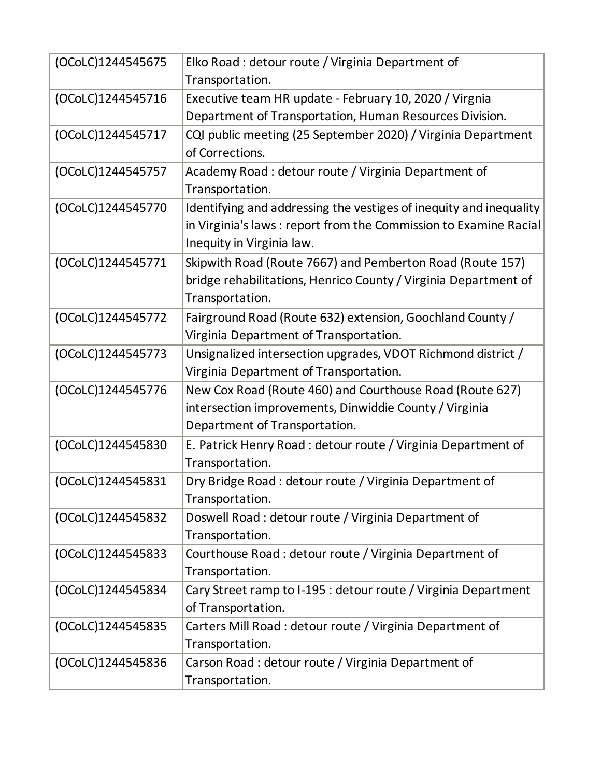| (OCoLC)1244545675 | Elko Road : detour route / Virginia Department of                  |
|-------------------|--------------------------------------------------------------------|
|                   | Transportation.                                                    |
| (OCoLC)1244545716 | Executive team HR update - February 10, 2020 / Virgnia             |
|                   | Department of Transportation, Human Resources Division.            |
| (OCoLC)1244545717 | CQI public meeting (25 September 2020) / Virginia Department       |
|                   | of Corrections.                                                    |
| (OCoLC)1244545757 | Academy Road: detour route / Virginia Department of                |
|                   | Transportation.                                                    |
| (OCoLC)1244545770 | Identifying and addressing the vestiges of inequity and inequality |
|                   | in Virginia's laws: report from the Commission to Examine Racial   |
|                   | Inequity in Virginia law.                                          |
| (OCoLC)1244545771 | Skipwith Road (Route 7667) and Pemberton Road (Route 157)          |
|                   | bridge rehabilitations, Henrico County / Virginia Department of    |
|                   | Transportation.                                                    |
| (OCoLC)1244545772 | Fairground Road (Route 632) extension, Goochland County /          |
|                   | Virginia Department of Transportation.                             |
| (OCoLC)1244545773 | Unsignalized intersection upgrades, VDOT Richmond district /       |
|                   | Virginia Department of Transportation.                             |
| (OCoLC)1244545776 | New Cox Road (Route 460) and Courthouse Road (Route 627)           |
|                   | intersection improvements, Dinwiddie County / Virginia             |
|                   | Department of Transportation.                                      |
| (OCoLC)1244545830 | E. Patrick Henry Road : detour route / Virginia Department of      |
|                   | Transportation.                                                    |
| (OCoLC)1244545831 | Dry Bridge Road: detour route / Virginia Department of             |
|                   | Transportation.                                                    |
| (OCoLC)1244545832 | Doswell Road : detour route / Virginia Department of               |
|                   | Transportation.                                                    |
| (OCoLC)1244545833 | Courthouse Road: detour route / Virginia Department of             |
|                   | Transportation.                                                    |
| (OCoLC)1244545834 | Cary Street ramp to I-195 : detour route / Virginia Department     |
|                   | of Transportation.                                                 |
| (OCoLC)1244545835 | Carters Mill Road : detour route / Virginia Department of          |
|                   | Transportation.                                                    |
| (OCoLC)1244545836 | Carson Road : detour route / Virginia Department of                |
|                   | Transportation.                                                    |